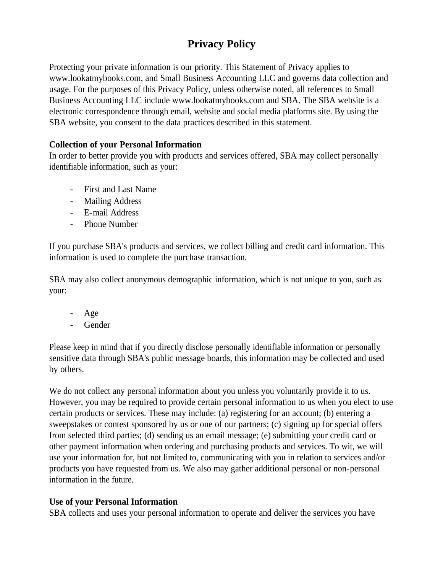# **Privacy Policy**

Protecting your private information is our priority. This Statement of Privacy applies to www.lookatmybooks.com, and Small Business Accounting LLC and governs data collection and usage. For the purposes of this Privacy Policy, unless otherwise noted, all references to Small Business Accounting LLC include www.lookatmybooks.com and SBA. The SBA website is a electronic correspondence through email, website and social media platforms site. By using the SBA website, you consent to the data practices described in this statement.

# **Collection of your Personal Information**

In order to better provide you with products and services offered, SBA may collect personally identifiable information, such as your:

- First and Last Name
- Mailing Address
- E-mail Address
- Phone Number

If you purchase SBA's products and services, we collect billing and credit card information. This information is used to complete the purchase transaction.

SBA may also collect anonymous demographic information, which is not unique to you, such as your:

- Age
- Gender

Please keep in mind that if you directly disclose personally identifiable information or personally sensitive data through SBA's public message boards, this information may be collected and used by others.

We do not collect any personal information about you unless you voluntarily provide it to us. However, you may be required to provide certain personal information to us when you elect to use certain products or services. These may include: (a) registering for an account; (b) entering a sweepstakes or contest sponsored by us or one of our partners; (c) signing up for special offers from selected third parties; (d) sending us an email message; (e) submitting your credit card or other payment information when ordering and purchasing products and services. To wit, we will use your information for, but not limited to, communicating with you in relation to services and/or products you have requested from us. We also may gather additional personal or non-personal information in the future.

# **Use of your Personal Information**

SBA collects and uses your personal information to operate and deliver the services you have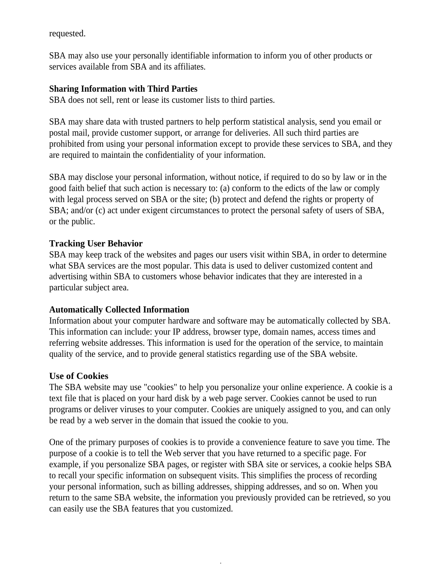requested.

SBA may also use your personally identifiable information to inform you of other products or services available from SBA and its affiliates.

### **Sharing Information with Third Parties**

SBA does not sell, rent or lease its customer lists to third parties.

SBA may share data with trusted partners to help perform statistical analysis, send you email or postal mail, provide customer support, or arrange for deliveries. All such third parties are prohibited from using your personal information except to provide these services to SBA, and they are required to maintain the confidentiality of your information.

SBA may disclose your personal information, without notice, if required to do so by law or in the good faith belief that such action is necessary to: (a) conform to the edicts of the law or comply with legal process served on SBA or the site; (b) protect and defend the rights or property of SBA; and/or (c) act under exigent circumstances to protect the personal safety of users of SBA, or the public.

### **Tracking User Behavior**

SBA may keep track of the websites and pages our users visit within SBA, in order to determine what SBA services are the most popular. This data is used to deliver customized content and advertising within SBA to customers whose behavior indicates that they are interested in a particular subject area.

### **Automatically Collected Information**

Information about your computer hardware and software may be automatically collected by SBA. This information can include: your IP address, browser type, domain names, access times and referring website addresses. This information is used for the operation of the service, to maintain quality of the service, and to provide general statistics regarding use of the SBA website.

#### **Use of Cookies**

The SBA website may use "cookies" to help you personalize your online experience. A cookie is a text file that is placed on your hard disk by a web page server. Cookies cannot be used to run programs or deliver viruses to your computer. Cookies are uniquely assigned to you, and can only be read by a web server in the domain that issued the cookie to you.

One of the primary purposes of cookies is to provide a convenience feature to save you time. The purpose of a cookie is to tell the Web server that you have returned to a specific page. For example, if you personalize SBA pages, or register with SBA site or services, a cookie helps SBA to recall your specific information on subsequent visits. This simplifies the process of recording your personal information, such as billing addresses, shipping addresses, and so on. When you return to the same SBA website, the information you previously provided can be retrieved, so you can easily use the SBA features that you customized.

.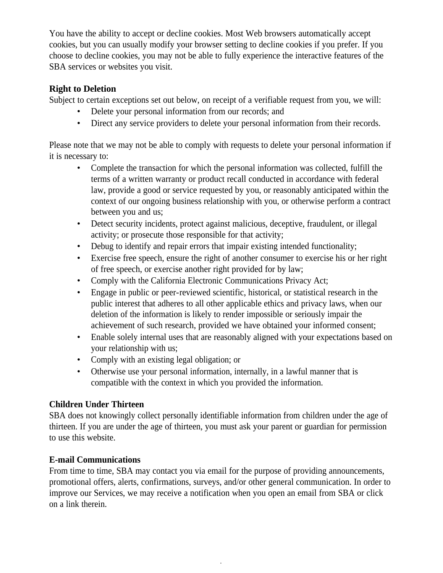You have the ability to accept or decline cookies. Most Web browsers automatically accept cookies, but you can usually modify your browser setting to decline cookies if you prefer. If you choose to decline cookies, you may not be able to fully experience the interactive features of the SBA services or websites you visit.

# **Right to Deletion**

Subject to certain exceptions set out below, on receipt of a verifiable request from you, we will:

- Delete your personal information from our records; and
- Direct any service providers to delete your personal information from their records.

Please note that we may not be able to comply with requests to delete your personal information if it is necessary to:

- Complete the transaction for which the personal information was collected, fulfill the terms of a written warranty or product recall conducted in accordance with federal law, provide a good or service requested by you, or reasonably anticipated within the context of our ongoing business relationship with you, or otherwise perform a contract between you and us;
- Detect security incidents, protect against malicious, deceptive, fraudulent, or illegal activity; or prosecute those responsible for that activity;
- Debug to identify and repair errors that impair existing intended functionality;
- Exercise free speech, ensure the right of another consumer to exercise his or her right of free speech, or exercise another right provided for by law;
- Comply with the California Electronic Communications Privacy Act;
- Engage in public or peer-reviewed scientific, historical, or statistical research in the public interest that adheres to all other applicable ethics and privacy laws, when our deletion of the information is likely to render impossible or seriously impair the achievement of such research, provided we have obtained your informed consent;
- Enable solely internal uses that are reasonably aligned with your expectations based on your relationship with us;
- Comply with an existing legal obligation; or
- Otherwise use your personal information, internally, in a lawful manner that is compatible with the context in which you provided the information.

# **Children Under Thirteen**

SBA does not knowingly collect personally identifiable information from children under the age of thirteen. If you are under the age of thirteen, you must ask your parent or guardian for permission to use this website.

# **E-mail Communications**

From time to time, SBA may contact you via email for the purpose of providing announcements, promotional offers, alerts, confirmations, surveys, and/or other general communication. In order to improve our Services, we may receive a notification when you open an email from SBA or click on a link therein.

.